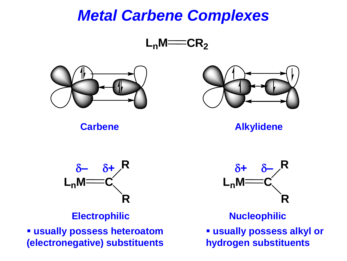#### *Metal Carbene Complexes*





**Carbene Alkylidene**



▪ **usually possess heteroatom (electronegative) substituents**



**Electrophilic Mucleophilic** 

▪ **usually possess alkyl or**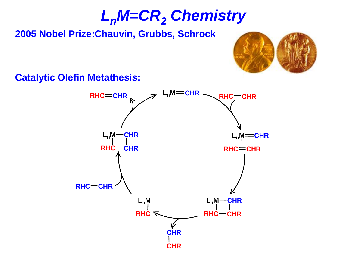# *LnM=CR<sup>2</sup> Chemistry*

#### **2005 Nobel Prize:Chauvin, Grubbs, Schrock**



**Catalytic Olefin Metathesis:**

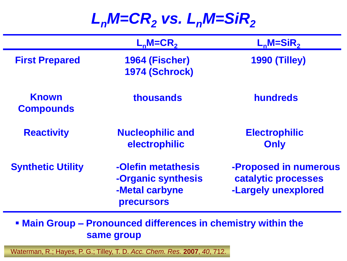#### *LnM=CR<sup>2</sup> vs. LnM=SiR<sup>2</sup>*

|                                  | $L_n$ M=CR <sub>2</sub>                                                         | $L_n$ M=SiR <sub>2</sub>                                            |
|----------------------------------|---------------------------------------------------------------------------------|---------------------------------------------------------------------|
| <b>First Prepared</b>            | 1964 (Fischer)<br><b>1974 (Schrock)</b>                                         | <b>1990 (Tilley)</b>                                                |
| <b>Known</b><br><b>Compounds</b> | thousands                                                                       | <b>hundreds</b>                                                     |
| <b>Reactivity</b>                | <b>Nucleophilic and</b><br>electrophilic                                        | <b>Electrophilic</b><br>Only                                        |
| <b>Synthetic Utility</b>         | -Olefin metathesis<br>-Organic synthesis<br>-Metal carbyne<br><b>precursors</b> | -Proposed in numerous<br>catalytic processes<br>-Largely unexplored |

▪ **Main Group – Pronounced differences in chemistry within the same group**

Waterman, R.; Hayes, P. G.; Tilley, T. D. *Acc. Chem. Res.* **2007**, *40*, 712.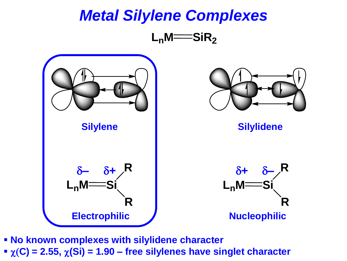

▪ **No known complexes with silylidene character**   $\chi$ <sup>(C</sup>) = 2.55,  $\chi$ (Si) = 1.90 – free silylenes have singlet character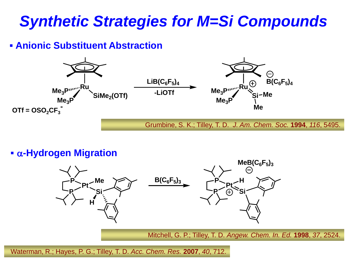## *Synthetic Strategies for M=Si Compounds*

#### ▪ **Anionic Substituent Abstraction**



▪ a**-Hydrogen Migration**



Waterman, R.; Hayes, P. G.; Tilley, T. D. *Acc. Chem. Res.* **2007**, *40*, 712.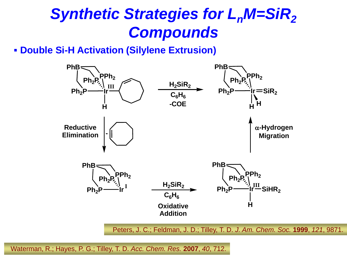# *Synthetic Strategies for L<sub>n</sub>M=SiR<sub>2</sub> Compounds*

#### ▪ **Double Si-H Activation (Silylene Extrusion)**



Waterman, R.; Hayes, P. G.; Tilley, T. D. *Acc. Chem. Res.* **2007**, *40*, 712.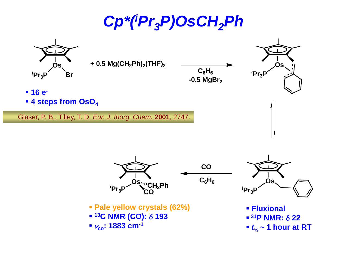*Cp\*(<sup>i</sup>Pr3P)OsCH2Ph*



- $\blacksquare$  <sup>13</sup>C NMR (CO):  $\delta$  193
- <sup>n</sup>**co: 1883 cm-1**
- $\blacksquare$  <sup>31</sup>**P** NMR:  $\delta$  22
- $t_{\frac{1}{2}}$  ~ 1 hour at RT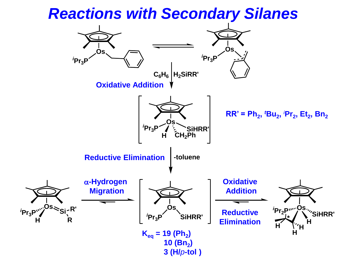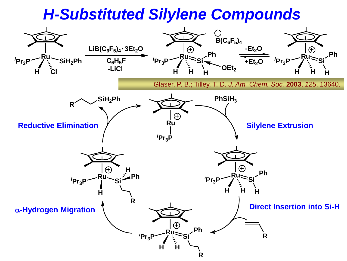#### *H-Substituted Silylene Compounds*

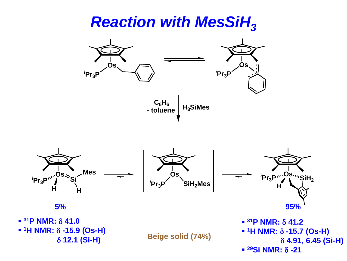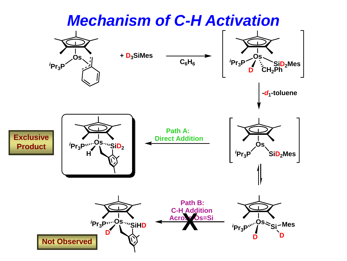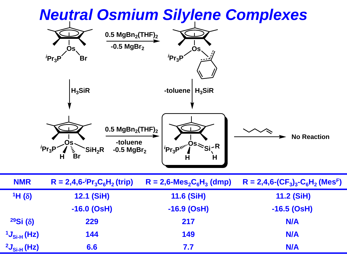

|                            | -toluene<br>.Os<br>$P_{r_3}P$<br>'SiH <sub>2</sub> R<br>$-0.5$ MgBr <sub>2</sub><br>$\tilde{\mathbf{z}}$<br><b>Br</b> | l <i>'</i> Pr <sub>3</sub> P™"ÓS<br>'e:∽R<br>Н<br>Н             | <b>No Reaction</b>             |
|----------------------------|-----------------------------------------------------------------------------------------------------------------------|-----------------------------------------------------------------|--------------------------------|
| <b>NMR</b>                 | $R = 2,4,6$ - $P_{13}C_6H_2$ (trip)                                                                                   | $R = 2,6$ -Mes <sub>2</sub> C <sub>6</sub> H <sub>3</sub> (dmp) | $R = 2,4,6-(CF3)3-C6H2 (MesF)$ |
| $1H(\delta)$               | <b>12.1 (SiH)</b>                                                                                                     | <b>11.6 (SiH)</b>                                               | 11.2 (SiH)                     |
|                            | $-16.0$ (OsH)                                                                                                         | $-16.9$ (OsH)                                                   | $-16.5$ (OsH)                  |
| 29Si(8)                    | 229                                                                                                                   | 217                                                             | <b>N/A</b>                     |
| $1J_{\text{Si-H}}(Hz)$     | 144                                                                                                                   | 149                                                             | <b>N/A</b>                     |
| $^{2}J_{\text{Si-H}}$ (Hz) | 6.6                                                                                                                   | 7.7                                                             | <b>N/A</b>                     |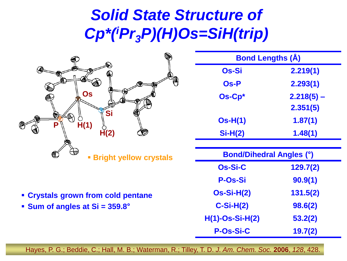# *Solid State Structure of Cp\*(<sup>i</sup>Pr3P)(H)Os=SiH(trip)*



| <b>Bond Lengths (Å)</b> |              |  |  |
|-------------------------|--------------|--|--|
| Os-Si                   | 2.219(1)     |  |  |
| Os-P                    | 2.293(1)     |  |  |
| Os-Cp*                  | $2.218(5) -$ |  |  |
|                         | 2.351(5)     |  |  |
| $Os-H(1)$               | 1.87(1)      |  |  |
| $Si-H(2)$               | 1.48(1)      |  |  |
|                         |              |  |  |

| €<br>₩<br><b>- Bright yellow crystals</b> | <b>Bond/Dihedral Angles (°)</b> |          |
|-------------------------------------------|---------------------------------|----------|
|                                           | Os-Si-C                         | 129.7(2) |
|                                           | <b>P-Os-Si</b>                  | 90.9(1)  |
| • Crystals grown from cold pentane        | $Os-Si-H(2)$                    | 131.5(2) |
| • Sum of angles at Si = 359.8°            | $C-Si-H(2)$                     | 98.6(2)  |
|                                           | $H(1)-OS-Si-H(2)$               | 53.2(2)  |
|                                           | <b>P-Os-Si-C</b>                | 19.7(2)  |

Hayes, P. G.; Beddie, C.; Hall, M. B.; Waterman, R.; Tilley, T. D. *J. Am. Chem. Soc.* **2006**, *128*, 428.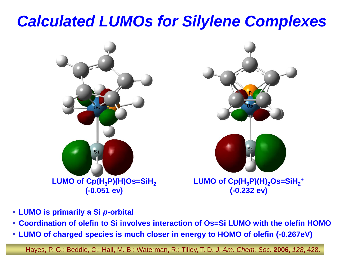### *Calculated LUMOs for Silylene Complexes*



- **LUMO is primarily a Si** *p***-orbital**
- **Coordination of olefin to Si involves interaction of Os=Si LUMO with the olefin HOMO**
- **LUMO of charged species is much closer in energy to HOMO of olefin (-0.267eV)**

Hayes, P. G.; Beddie, C.; Hall, M. B.; Waterman, R.; Tilley, T. D. *J. Am. Chem. Soc.* **2006**, *128*, 428.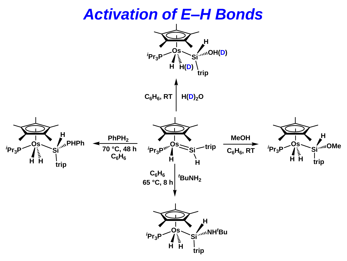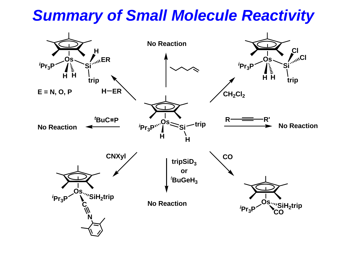## *Summary of Small Molecule Reactivity*

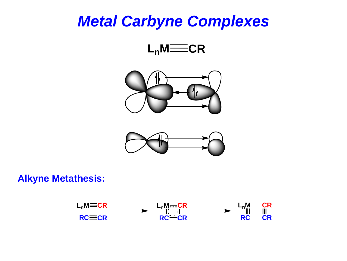#### *Metal Carbyne Complexes*







#### **Alkyne Metathesis:**

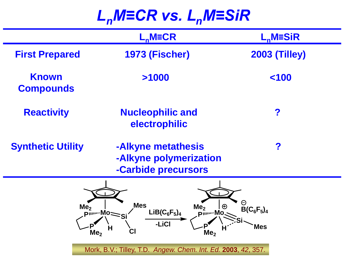# *LnM≡CR vs. LnM≡SiR*

|                                    | $L_n$ M=CR                                                                                                                                                                               | $L_n$ M=SiR                                     |
|------------------------------------|------------------------------------------------------------------------------------------------------------------------------------------------------------------------------------------|-------------------------------------------------|
| <b>First Prepared</b>              | <b>1973 (Fischer)</b>                                                                                                                                                                    | <b>2003 (Tilley)</b>                            |
| <b>Known</b><br><b>Compounds</b>   | >1000                                                                                                                                                                                    | 100                                             |
| <b>Reactivity</b>                  | <b>Nucleophilic and</b><br>electrophilic                                                                                                                                                 | ?                                               |
| <b>Synthetic Utility</b>           | -Alkyne metathesis<br>-Alkyne polymerization<br>-Carbide precursors                                                                                                                      | ?                                               |
| Me <sub>2</sub><br>Me <sub>2</sub> | <b>Mes</b><br>Me <sub>2</sub><br>$LiB(C_6F_5)_4$<br>P"""Mo Si<br>pinn Mo.<br>-LiCl<br>Н<br><b>CI</b><br>Me <sub>2</sub><br>Mork, B.V.; Tilley, T.D. Angew. Chem. Int. Ed. 2003, 42, 357. | Θ<br>$\bigoplus$<br>$B(C_6F_5)_4$<br><b>Mes</b> |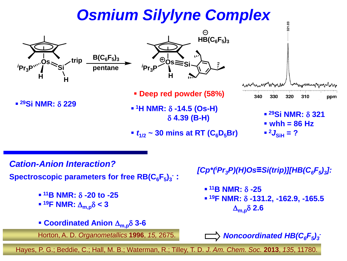# *Osmium Silylyne Complex*



*Cation-Anion Interaction?*

**Spectroscopic parameters for free RB(C6F<sup>5</sup> )3 - :**

- $\blacksquare$  <sup>11</sup>**B** NMR:  $\delta$  -20 to -25
- $\blacksquare$  <sup>19</sup>**F** NMR:  $\Delta_{\mathsf{m},\mathsf{p}}\delta$  < 3
- **Coordinated Anion**  $\Delta_{m,p} \delta$  3-6

Horton, A. D. *Organometallics* **1996** *-* , *15,* 2675.

*[Cp\*(<sup>i</sup>Pr3P)(H)Os***≡***Si(trip)][HB(C6F<sup>5</sup> )3 ]:*

 $\blacksquare$  <sup>11</sup>**B** NMR:  $\delta$  -25 ▪ **<sup>19</sup>F NMR:** d **-131.2, -162.9, -165.5**  $\Delta_{\mathsf{m},\mathsf{p}}\delta$  2.6

*Noncoordinated HB(C6F<sup>5</sup> )3*

Hayes, P. G.; Beddie, C.; Hall, M. B.; Waterman, R.; Tilley, T. D. *J. Am. Chem. Soc.* **2013**, *135*, 11780.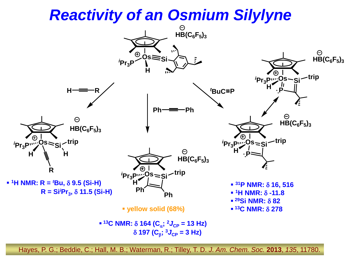#### *Reactivity of an Osmium Silylyne*



Hayes, P. G.; Beddie, C.; Hall, M. B.; Waterman, R.; Tilley, T. D. *J. Am. Chem. Soc.* **2013**, *135*, 11780.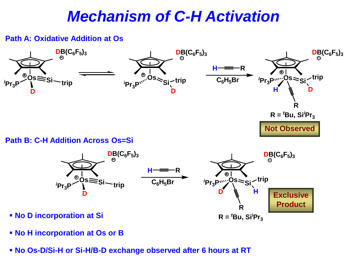#### *Mechanism of C-H Activation*

#### **Path A: Oxidative Addition at Os**





- **No H incorporation at Os or B**
- **No Os-D/Si-H or Si-H/B-D exchange observed after 6 hours at RT**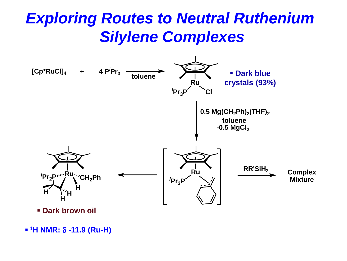# *Exploring Routes to Neutral Ruthenium Silylene Complexes*



 $\bullet$  <sup>1</sup>H NMR: δ -11.9 (Ru-H)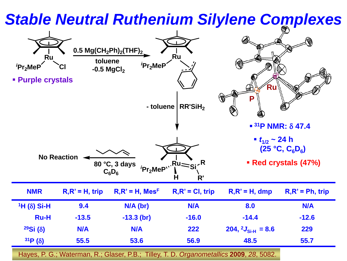#### *Stable Neutral Ruthenium Silylene Complexes* **0.5 Mg(CH2Ph)<sup>2</sup> (THF)<sup>2</sup> Ru Ru toluene** *<sup>i</sup>***Pr2MeP** *<sup>i</sup>***Pr2MeP Cl -0.5 MgCl<sup>2</sup>** ▪ **Purple crystals Ru** 偉 **P RR'SiH<sup>2</sup> - toluene**  $\blacksquare$  <sup>31</sup>**P** NMR:  $\delta$  47.4  $\cdot$  *t*<sub>1/2</sub> ~ 24 h **(25 °C, C6D<sup>6</sup> ) No Reaction R** ▪ **Red crystals (47%) 80 °C, 3 days Ru** *<sup>i</sup>***Pr2MeP Si**  $C_6D_6$ **H R' NMR R,R' = H, trip R,R' = H, Mes<sup>F</sup> R,R' = Cl, trip R,R' = H, dmp R,R' = Ph, trip <sup>1</sup>H (**d**) Si-H 9.4 N/A (br) N/A 8.0 N/A Ru-H -13.5 -13.3 (br) -16.0 -14.4 -12.6 <sup>29</sup>Si (**d**) N/A N/A 222 204, <sup>2</sup>***J***Si-H = 8.6 229 <sup>31</sup>P (**d**) 55.5 53.6 56.9 48.5 55.7** Hayes, P. G.; Waterman, R.; Glaser, P.B.; Tilley, T. D. *Organometallics* **2009**, *28*, 5082.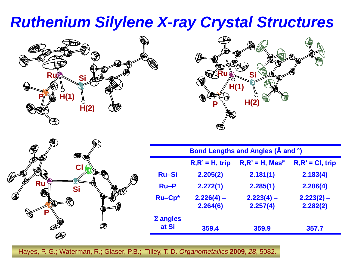### *Ruthenium Silylene X-ray Crystal Structures*







| Bond Lengths and Angles (Å and °) |                                                                             |                          |                          |  |  |
|-----------------------------------|-----------------------------------------------------------------------------|--------------------------|--------------------------|--|--|
|                                   | $R, R' = H$ , Mes <sup>F</sup><br>$R, R' = CI$ , trip<br>$R, R' = H$ , trip |                          |                          |  |  |
| <b>Ru-Si</b>                      | 2.205(2)                                                                    | 2.181(1)                 | 2.183(4)                 |  |  |
| $Ru-P$                            | 2.272(1)                                                                    | 2.285(1)                 | 2.286(4)                 |  |  |
| <b>Ru-Cp*</b>                     | $2.226(4) -$<br>2.264(6)                                                    | $2.223(4) -$<br>2.257(4) | $2.223(2)$ –<br>2.282(2) |  |  |
| $\Sigma$ angles<br>at Si          | 359.4                                                                       | 359.9                    | 357.7                    |  |  |

Hayes, P. G.; Waterman, R.; Glaser, P.B.; Tilley, T. D. *Organometallics* **2009**, *28*, 5082.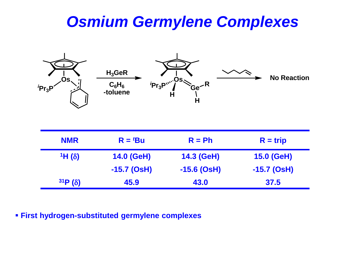#### *Osmium Germylene Complexes*



| <b>NMR</b>   | $R = {}^t\text{Bu}$ | $R = Ph$      | $R = trip$        |
|--------------|---------------------|---------------|-------------------|
| $1H(\delta)$ | 14.0 (GeH)          | 14.3 (GeH)    | <b>15.0 (GeH)</b> |
|              | -15.7 (OsH)         | $-15.6$ (OsH) | -15.7 (OsH)       |
| 31P(8)       | 45.9                | 43.0          | 37.5              |

▪ **First hydrogen-substituted germylene complexes**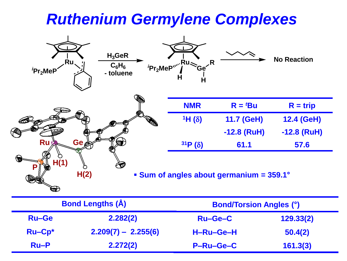#### *Ruthenium Germylene Complexes*



| <b>Bond Lengths (Å)</b> |                       | <b>Bond/Torsion Angles (°)</b> |           |
|-------------------------|-----------------------|--------------------------------|-----------|
| Ru-Ge                   | 2.282(2)              | Ru-Ge-C                        | 129.33(2) |
| $Ru-Cp^*$               | $2.209(7) - 2.255(6)$ | H-Ru-Ge-H                      | 50.4(2)   |
| $Ru-P$                  | 2.272(2)              | <b>P-Ru-Ge-C</b>               | 161.3(3)  |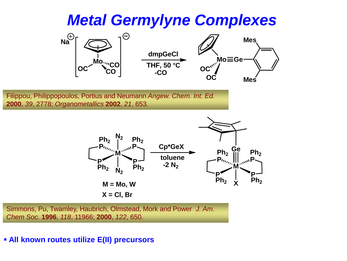#### *Metal Germylyne Complexes*

![](_page_26_Figure_1.jpeg)

Filippou, Philippopoulos, Portius and Neumann *Angew. Chem. Int. Ed.*  **2000**, *39*, 2778; *Organometallics* **2002**, *21*, 653.

![](_page_26_Figure_3.jpeg)

Simmons, Pu, Twamley, Haubrich, Olmstead, Mork and Power *J. Am. Chem Soc.* **1996**, *118*, 11966; **2000**, *122*, 650.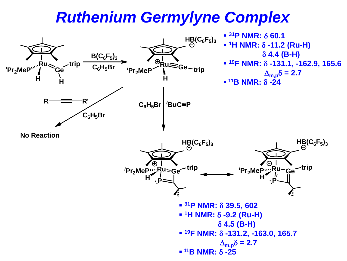#### *Ruthenium Germylyne Complex*

![](_page_27_Figure_1.jpeg)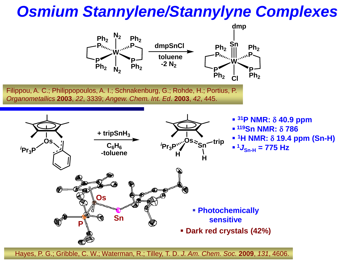### *Osmium Stannylene/Stannylyne Complexes*

![](_page_28_Figure_1.jpeg)

Hayes, P. G.; Gribble, C. W.; Waterman, R.; Tilley, T. D. *J. Am. Chem. Soc.* **2009**, *131*, 4606.